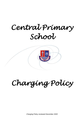# *Central Primary School*



*Charging Policy* 

*Charging Policy reviewed December 2020*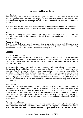# **Our motto: Children are Central**

# **Introduction**

The Governing Body wish to ensure that all pupils have access to all areas of the life of the school, regardless of the parent's ability to pay; we have, therefore, adopted Hertfordshire Local Authority's charging and remissions policy which is based on the advice from the department of Education.

The Head Teacher and Governors will consider sympathetically cases of genuine need seeking help with these charges and will remit those they feel are necessary from the school's budget.

# **Aim**

The aim of this policy is to set out what charges will be levied for activities, what remissions will be implemented and the circumstances under which voluntary contributions will be requested from parents.

# **Responsibilities**

The Governing Body of the school are responsible for determining the content of the policy and the Head teacher for implementation. Any determinations with respect to individual parents may be considered jointly by the Head teacher and Governing Body.

# **Charges**

# **Voluntary Contributions**

The Governing Body recognises the valuable contribution that a wide range of additional activities such as clubs, trips, residential activities and music lessons can make towards pupils' personal and social education. We do not charge for any activity undertaken as part of the National Curriculum.

When organising school trips or visits which enrich the curriculum and educational experience of the children, the school invites parents to contribute to the cost of the trip. All contributions are voluntary. If we do not receive sufficient voluntary contributions, we may have to cancel a trip. If a parent wishes their child to take part in a school trip or event, but is unwilling or unable to make a voluntary contribution, the child will be able to participate fully in the trip or activity. Sometimes the school pays additional costs in order to support the visit. Parents have a right to know how each trip is funded and this is provided in the letter sent out to parents informing them of the trip (Appendix A).

#### **Residential trips**

In the case of activities partly during the school day, and partly out of school hours, charges will be made for the time outside school hours; transport and for board and lodging on a residential school journey. The school organises a residential trip for children in Year 6 during school time which provide education directly related to the National Curriculum. We do charge parents for the cost of these trips which purely covers the actual cost of this provision. Those children eligible for free school meals (not universal meals)/ pupil premium are asked to contribute at least half the overall cost.

#### **Parents on low Income**

Where the parents of a pupil are in receipt of income support or family credit, the Governing Body encourages parents to approach the Headteacher for financial support. This can take the form of a reduced cost for trips, a deferred payment or just general financial advice. In other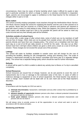circumstances, there may be cases of family hardship which make it difficult for pupils to take part in particular activities for which a charge is made or a voluntary contribution is requested. Again, parents are encouraged to apply in confidence to the Head teacher for the remission of charges either in part or in full.

# **Music tuition**

The school currently employs peripatetic music teachers through the Hertfordshire Music Service. The Music Service charge the school for supplying the teacher and the cost is then passed on to the parents. Music fees are invoiced on a termly basis in advance and parents are required to give half a term's notice if a child wishes to stop. When this happens, the school will endeavour to fill the space with another pupil but if this is not possible the parent will be asked to meet any costs incurred and any fees already paid will be forfeited.

# **Activities outside of school hours**

The school offer a wide range of after school clubs, some of which are run by members of staff and are free of charge. Other clubs are run by people from outside school, who will then charge parents directly and have their own charging policy. The school runs a breakfast club from 8am each day at a cost of £2.00 per daily session or £10.00 for the week. We also run an After-School Club from 3.30-5pm where children are given a drink and a snack at a cost of £5.00 per session. These charges do not exceed the actual cost of the provision.

# **Lettings**

The school will make its facilities available to outside users and will charge for the cost of providing the facilities, allowing for site management, energy and cleaning costs. The scale of charges is determined annually by the finance committee and forms part of a separate lettings policy. The school has a separate lettings policy which should be read for further information.

#### **Refunds**

A refund will be paid if a child is unable to attend any activity due to illness or if a trip is cancelled completely.

#### **School Resources**

School resources are issued free of charge; however, we do ask parents to cover the cost of replacements due to loss or damage to the estimated value of the item. In cases of wilful or malicious damage to equipment or loss of school equipment, the Head teacher may decide to make a charge. Each incident will be dealt with on its own merit and at the Head teacher's discretion.

#### **Equality**

In accordance with the Equality Act 2010 we seek to;

- a) **eliminate discrimination**, harassment, victimisation and any other conduct that is prohibited by or under the act
- b) **advance equality of opportunity** between persons who share a relevant protected characteristic and persons who do not share it
- c) **foster good relations** between persons who share a relevant protected characteristic and persons who do not share it

We will always strive to provide access to all the opportunities in our school and seek to work in accordance with the above principles.

#### **Monitoring and Review**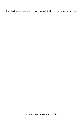This policy is closely monitored by the Governing Body. It will be reviewed at least every 2 years.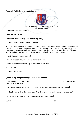

Dear Parents/ Carers,

# **RE: {Insert Name of Trip and Date of Trip here}**

{*Insert information about the reason for the trip*}

You are invited to make a voluntary contribution of {*insert suggested contribution*} towards the cost {*insert reason for contribution and trip*}. We wish to make it clear that no pupil will be denied participation on the grounds that no contribution has been made on their behalf. If however, insufficient funds are received by {*insert date*}, the trip will have to be cancelled.

{Insert information about lunches}

{Inset information about the arrangements for the trip}

Please return the permission slip below before {insert date}.

Yours faithfully,

# **{Name of trip and person slips are to be returned to}**

| take part in {insert trip}.                                                                                           |  |
|-----------------------------------------------------------------------------------------------------------------------|--|
| {My child will need a yellow lunch $\Box$ / My child will bring a packed lunch from home $\Box$ }                     |  |
| $\{I \text{ will collect my child at the venue } \Box / \text{My child is allowed to walk home on their own } \Box /$ |  |
| I would like my child to return to school where I will collect them $\Box$                                            |  |
|                                                                                                                       |  |

*Charging Policy reviewed December 2020*